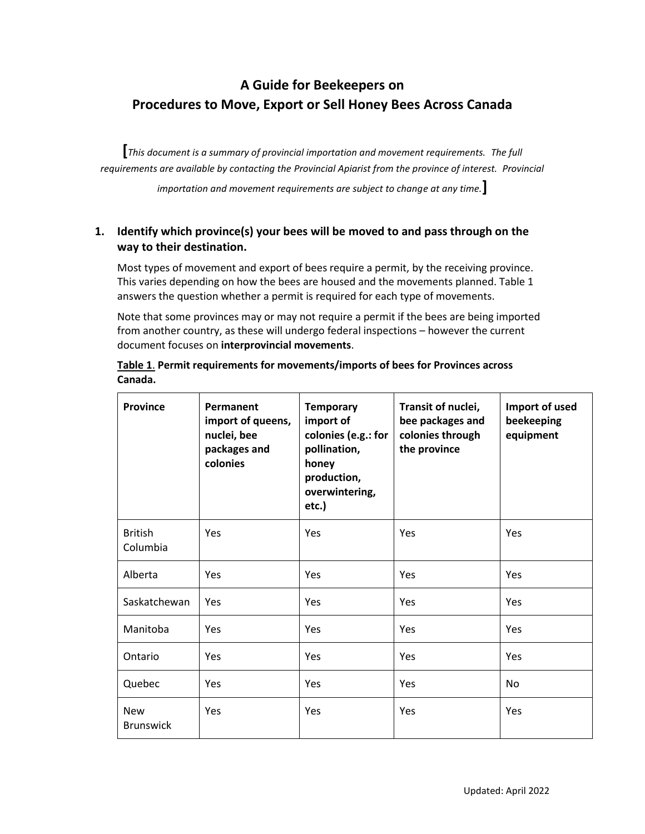# **A Guide for Beekeepers on Procedures to Move, Export or Sell Honey Bees Across Canada**

**[***This document is a summary of provincial importation and movement requirements. The full requirements are available by contacting the Provincial Apiarist from the province of interest. Provincial importation and movement requirements are subject to change at any time.***]**

## **1. Identify which province(s) your bees will be moved to and pass through on the way to their destination.**

Most types of movement and export of bees require a permit, by the receiving province. This varies depending on how the bees are housed and the movements planned. Table 1 answers the question whether a permit is required for each type of movements.

Note that some provinces may or may not require a permit if the bees are being imported from another country, as these will undergo federal inspections – however the current document focuses on **interprovincial movements**.

| <b>Province</b>                | Permanent<br>import of queens,<br>nuclei, bee<br>packages and<br>colonies | <b>Temporary</b><br>import of<br>colonies (e.g.: for<br>pollination,<br>honey<br>production,<br>overwintering,<br>etc.) | Transit of nuclei,<br>bee packages and<br>colonies through<br>the province | Import of used<br>beekeeping<br>equipment |
|--------------------------------|---------------------------------------------------------------------------|-------------------------------------------------------------------------------------------------------------------------|----------------------------------------------------------------------------|-------------------------------------------|
| <b>British</b><br>Columbia     | Yes                                                                       | Yes                                                                                                                     | Yes                                                                        | Yes                                       |
| Alberta                        | Yes                                                                       | <b>Yes</b>                                                                                                              | Yes                                                                        | Yes                                       |
| Saskatchewan                   | Yes                                                                       | <b>Yes</b>                                                                                                              | Yes                                                                        | Yes                                       |
| Manitoba                       | Yes                                                                       | Yes                                                                                                                     | Yes                                                                        | Yes                                       |
| Ontario                        | Yes                                                                       | Yes                                                                                                                     | Yes                                                                        | Yes                                       |
| Quebec                         | Yes                                                                       | Yes                                                                                                                     | Yes                                                                        | No                                        |
| <b>New</b><br><b>Brunswick</b> | Yes                                                                       | <b>Yes</b>                                                                                                              | Yes                                                                        | Yes                                       |

**Table 1**. **Permit requirements for movements/imports of bees for Provinces across Canada.**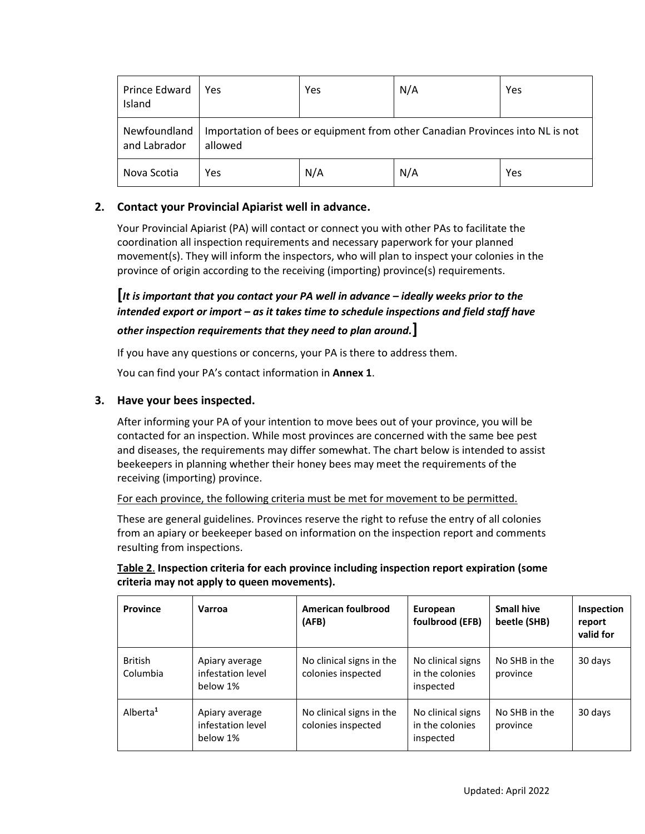| Prince Edward<br>Island      | Yes                                                                                      | Yes | N/A | Yes |
|------------------------------|------------------------------------------------------------------------------------------|-----|-----|-----|
| Newfoundland<br>and Labrador | Importation of bees or equipment from other Canadian Provinces into NL is not<br>allowed |     |     |     |
| Nova Scotia                  | Yes                                                                                      | N/A | N/A | Yes |

### **2. Contact your Provincial Apiarist well in advance.**

Your Provincial Apiarist (PA) will contact or connect you with other PAs to facilitate the coordination all inspection requirements and necessary paperwork for your planned movement(s). They will inform the inspectors, who will plan to inspect your colonies in the province of origin according to the receiving (importing) province(s) requirements.

**[***It is important that you contact your PA well in advance – ideally weeks prior to the intended export or import – as it takes time to schedule inspections and field staff have* 

### *other inspection requirements that they need to plan around.***]**

If you have any questions or concerns, your PA is there to address them.

You can find your PA's contact information in **Annex 1**.

### **3. Have your bees inspected.**

After informing your PA of your intention to move bees out of your province, you will be contacted for an inspection. While most provinces are concerned with the same bee pest and diseases, the requirements may differ somewhat. The chart below is intended to assist beekeepers in planning whether their honey bees may meet the requirements of the receiving (importing) province.

For each province, the following criteria must be met for movement to be permitted.

These are general guidelines. Provinces reserve the right to refuse the entry of all colonies from an apiary or beekeeper based on information on the inspection report and comments resulting from inspections.

### **Table 2**. **Inspection criteria for each province including inspection report expiration (some criteria may not apply to queen movements).**

| <b>Province</b>            | Varroa                                          | American foulbrood<br>(AFB)                    | European<br>foulbrood (EFB)                       | <b>Small hive</b><br>beetle (SHB) | Inspection<br>report<br>valid for |
|----------------------------|-------------------------------------------------|------------------------------------------------|---------------------------------------------------|-----------------------------------|-----------------------------------|
| <b>British</b><br>Columbia | Apiary average<br>infestation level<br>below 1% | No clinical signs in the<br>colonies inspected | No clinical signs<br>in the colonies<br>inspected | No SHB in the<br>province         | 30 days                           |
| Alberta <sup>1</sup>       | Apiary average<br>infestation level<br>below 1% | No clinical signs in the<br>colonies inspected | No clinical signs<br>in the colonies<br>inspected | No SHB in the<br>province         | 30 days                           |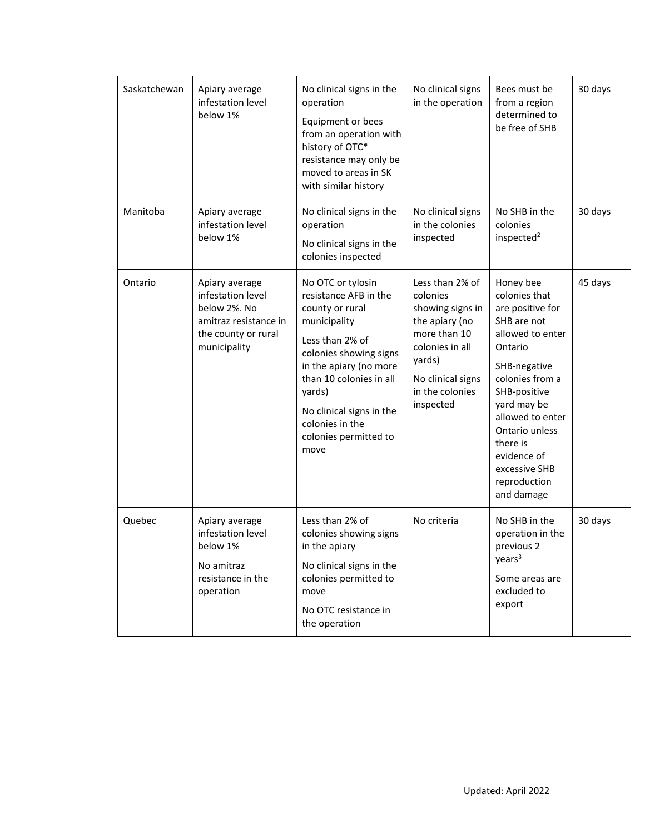| Saskatchewan | Apiary average<br>infestation level<br>below 1%                                                                     | No clinical signs in the<br>operation<br>Equipment or bees<br>from an operation with<br>history of OTC*<br>resistance may only be<br>moved to areas in SK<br>with similar history                                                                                         | No clinical signs<br>in the operation                                                                                                                               | Bees must be<br>from a region<br>determined to<br>be free of SHB                                                                                                                                                                                                               | 30 days |
|--------------|---------------------------------------------------------------------------------------------------------------------|---------------------------------------------------------------------------------------------------------------------------------------------------------------------------------------------------------------------------------------------------------------------------|---------------------------------------------------------------------------------------------------------------------------------------------------------------------|--------------------------------------------------------------------------------------------------------------------------------------------------------------------------------------------------------------------------------------------------------------------------------|---------|
| Manitoba     | Apiary average<br>infestation level<br>below 1%                                                                     | No clinical signs in the<br>operation<br>No clinical signs in the<br>colonies inspected                                                                                                                                                                                   | No clinical signs<br>in the colonies<br>inspected                                                                                                                   | No SHB in the<br>colonies<br>inspected <sup>2</sup>                                                                                                                                                                                                                            | 30 days |
| Ontario      | Apiary average<br>infestation level<br>below 2%. No<br>amitraz resistance in<br>the county or rural<br>municipality | No OTC or tylosin<br>resistance AFB in the<br>county or rural<br>municipality<br>Less than 2% of<br>colonies showing signs<br>in the apiary (no more<br>than 10 colonies in all<br>yards)<br>No clinical signs in the<br>colonies in the<br>colonies permitted to<br>move | Less than 2% of<br>colonies<br>showing signs in<br>the apiary (no<br>more than 10<br>colonies in all<br>yards)<br>No clinical signs<br>in the colonies<br>inspected | Honey bee<br>colonies that<br>are positive for<br>SHB are not<br>allowed to enter<br>Ontario<br>SHB-negative<br>colonies from a<br>SHB-positive<br>yard may be<br>allowed to enter<br>Ontario unless<br>there is<br>evidence of<br>excessive SHB<br>reproduction<br>and damage | 45 days |
| Quebec       | Apiary average<br>infestation level<br>below 1%<br>No amitraz<br>resistance in the<br>operation                     | Less than 2% of<br>colonies showing signs<br>in the apiary<br>No clinical signs in the<br>colonies permitted to<br>move<br>No OTC resistance in<br>the operation                                                                                                          | No criteria                                                                                                                                                         | No SHB in the<br>operation in the<br>previous 2<br>years <sup>3</sup><br>Some areas are<br>excluded to<br>export                                                                                                                                                               | 30 days |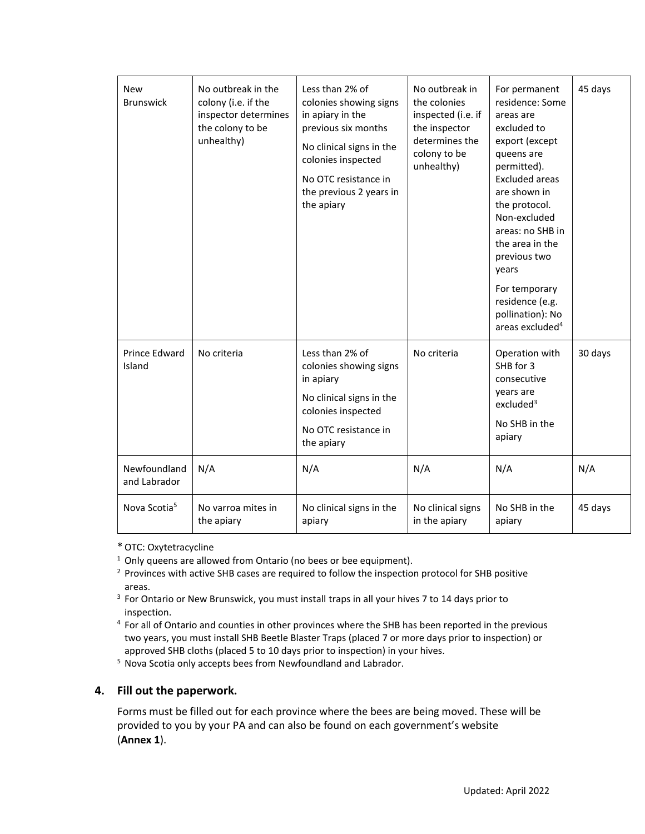| <b>New</b><br><b>Brunswick</b> | No outbreak in the<br>colony (i.e. if the<br>inspector determines<br>the colony to be<br>unhealthy) | Less than 2% of<br>colonies showing signs<br>in apiary in the<br>previous six months<br>No clinical signs in the<br>colonies inspected<br>No OTC resistance in<br>the previous 2 years in<br>the apiary | No outbreak in<br>the colonies<br>inspected (i.e. if<br>the inspector<br>determines the<br>colony to be<br>unhealthy) | For permanent<br>residence: Some<br>areas are<br>excluded to<br>export (except<br>queens are<br>permitted).<br><b>Excluded areas</b><br>are shown in<br>the protocol.<br>Non-excluded<br>areas: no SHB in<br>the area in the<br>previous two<br>years<br>For temporary<br>residence (e.g.<br>pollination): No<br>areas excluded <sup>4</sup> | 45 days |
|--------------------------------|-----------------------------------------------------------------------------------------------------|---------------------------------------------------------------------------------------------------------------------------------------------------------------------------------------------------------|-----------------------------------------------------------------------------------------------------------------------|----------------------------------------------------------------------------------------------------------------------------------------------------------------------------------------------------------------------------------------------------------------------------------------------------------------------------------------------|---------|
| <b>Prince Edward</b><br>Island | No criteria                                                                                         | Less than 2% of<br>colonies showing signs<br>in apiary<br>No clinical signs in the<br>colonies inspected<br>No OTC resistance in<br>the apiary                                                          | No criteria                                                                                                           | Operation with<br>SHB for 3<br>consecutive<br>years are<br>excluded <sup>3</sup><br>No SHB in the<br>apiary                                                                                                                                                                                                                                  | 30 days |
| Newfoundland<br>and Labrador   | N/A                                                                                                 | N/A                                                                                                                                                                                                     | N/A                                                                                                                   | N/A                                                                                                                                                                                                                                                                                                                                          | N/A     |
| Nova Scotia <sup>5</sup>       | No varroa mites in<br>the apiary                                                                    | No clinical signs in the<br>apiary                                                                                                                                                                      | No clinical signs<br>in the apiary                                                                                    | No SHB in the<br>apiary                                                                                                                                                                                                                                                                                                                      | 45 days |

\*OTC: Oxytetracycline

 $1$  Only queens are allowed from Ontario (no bees or bee equipment).

- <sup>2</sup> Provinces with active SHB cases are required to follow the inspection protocol for SHB positive areas.
- <sup>3</sup> For Ontario or New Brunswick, you must install traps in all your hives 7 to 14 days prior to inspection.
- <sup>4</sup> For all of Ontario and counties in other provinces where the SHB has been reported in the previous two years, you must install SHB Beetle Blaster Traps (placed 7 or more days prior to inspection) or approved SHB cloths (placed 5 to 10 days prior to inspection) in your hives.

<sup>5</sup> Nova Scotia only accepts bees from Newfoundland and Labrador.

#### **4. Fill out the paperwork.**

Forms must be filled out for each province where the bees are being moved. These will be provided to you by your PA and can also be found on each government's website (**Annex 1**).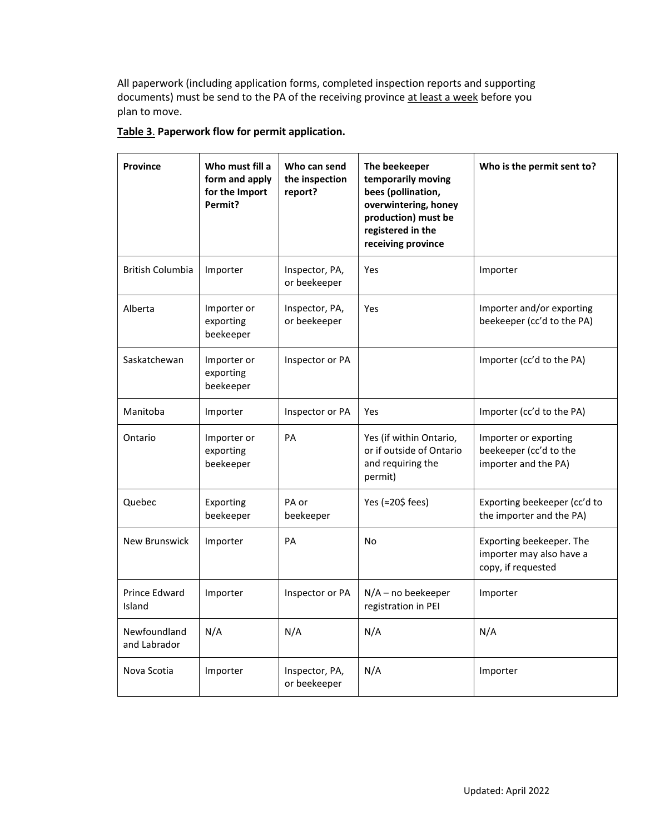All paperwork (including application forms, completed inspection reports and supporting documents) must be send to the PA of the receiving province at least a week before you plan to move.

| <b>Province</b>              | Who must fill a<br>form and apply<br>for the Import<br>Permit? | Who can send<br>the inspection<br>report? | The beekeeper<br>temporarily moving<br>bees (pollination,<br>overwintering, honey<br>production) must be<br>registered in the<br>receiving province | Who is the permit sent to?                                                 |
|------------------------------|----------------------------------------------------------------|-------------------------------------------|-----------------------------------------------------------------------------------------------------------------------------------------------------|----------------------------------------------------------------------------|
| <b>British Columbia</b>      | Importer                                                       | Inspector, PA,<br>or beekeeper            | Yes                                                                                                                                                 | Importer                                                                   |
| Alberta                      | Importer or<br>exporting<br>beekeeper                          | Inspector, PA,<br>or beekeeper            | Yes                                                                                                                                                 | Importer and/or exporting<br>beekeeper (cc'd to the PA)                    |
| Saskatchewan                 | Importer or<br>exporting<br>beekeeper                          | Inspector or PA                           |                                                                                                                                                     | Importer (cc'd to the PA)                                                  |
| Manitoba                     | Importer                                                       | Inspector or PA                           | Yes                                                                                                                                                 | Importer (cc'd to the PA)                                                  |
| Ontario                      | Importer or<br>exporting<br>beekeeper                          | PA                                        | Yes (if within Ontario,<br>or if outside of Ontario<br>and requiring the<br>permit)                                                                 | Importer or exporting<br>beekeeper (cc'd to the<br>importer and the PA)    |
| Quebec                       | Exporting<br>beekeeper                                         | PA or<br>beekeeper                        | Yes (≈20\$ fees)                                                                                                                                    | Exporting beekeeper (cc'd to<br>the importer and the PA)                   |
| <b>New Brunswick</b>         | Importer                                                       | PA                                        | No                                                                                                                                                  | Exporting beekeeper. The<br>importer may also have a<br>copy, if requested |
| Prince Edward<br>Island      | Importer                                                       | Inspector or PA                           | $N/A$ – no beekeeper<br>registration in PEI                                                                                                         | Importer                                                                   |
| Newfoundland<br>and Labrador | N/A                                                            | N/A                                       | N/A                                                                                                                                                 | N/A                                                                        |
| Nova Scotia                  | Importer                                                       | Inspector, PA,<br>or beekeeper            | N/A                                                                                                                                                 | Importer                                                                   |

## **Table 3**. **Paperwork flow for permit application.**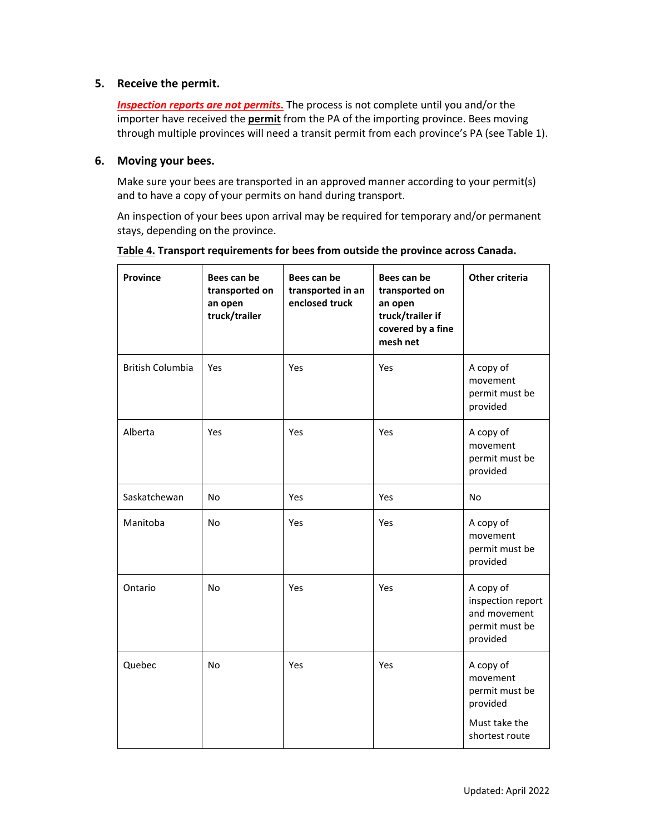#### **5. Receive the permit.**

*Inspection reports are not permits***.** The process is not complete until you and/or the importer have received the **permit** from the PA of the importing province. Bees moving through multiple provinces will need a transit permit from each province's PA (see Table 1).

#### **6. Moving your bees.**

Make sure your bees are transported in an approved manner according to your permit(s) and to have a copy of your permits on hand during transport.

An inspection of your bees upon arrival may be required for temporary and/or permanent stays, depending on the province.

| <b>Province</b>         | Bees can be<br>transported on<br>an open<br>truck/trailer | Bees can be<br>transported in an<br>enclosed truck | Bees can be<br>transported on<br>an open<br>truck/trailer if<br>covered by a fine<br>mesh net | Other criteria                                                                         |
|-------------------------|-----------------------------------------------------------|----------------------------------------------------|-----------------------------------------------------------------------------------------------|----------------------------------------------------------------------------------------|
| <b>British Columbia</b> | Yes                                                       | Yes                                                | Yes                                                                                           | A copy of<br>movement<br>permit must be<br>provided                                    |
| Alberta                 | Yes                                                       | Yes                                                | Yes                                                                                           | A copy of<br>movement<br>permit must be<br>provided                                    |
| Saskatchewan            | No.                                                       | <b>Yes</b>                                         | Yes                                                                                           | <b>No</b>                                                                              |
| Manitoba                | No.                                                       | Yes                                                | Yes                                                                                           | A copy of<br>movement<br>permit must be<br>provided                                    |
| Ontario                 | No.                                                       | Yes                                                | Yes                                                                                           | A copy of<br>inspection report<br>and movement<br>permit must be<br>provided           |
| Quebec                  | No                                                        | Yes                                                | Yes                                                                                           | A copy of<br>movement<br>permit must be<br>provided<br>Must take the<br>shortest route |

**Table 4. Transport requirements for bees from outside the province across Canada.**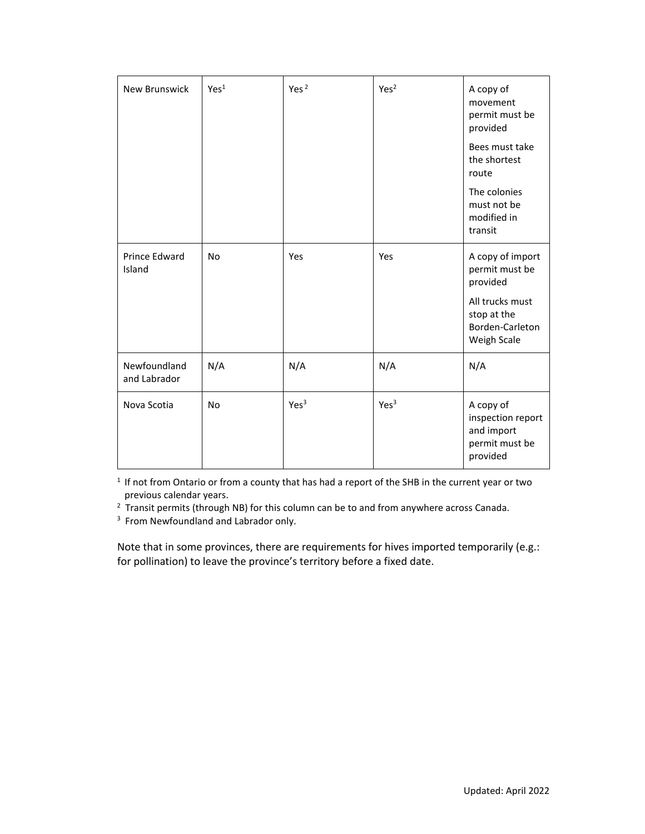| <b>New Brunswick</b>         | Yes <sup>1</sup> | Yes <sup>2</sup> | Yes <sup>2</sup> | A copy of<br>movement<br>permit must be<br>provided                                                                |
|------------------------------|------------------|------------------|------------------|--------------------------------------------------------------------------------------------------------------------|
|                              |                  |                  |                  | Bees must take<br>the shortest<br>route                                                                            |
|                              |                  |                  |                  | The colonies<br>must not be<br>modified in<br>transit                                                              |
| Prince Edward<br>Island      | <b>No</b>        | Yes              | Yes              | A copy of import<br>permit must be<br>provided<br>All trucks must<br>stop at the<br>Borden-Carleton<br>Weigh Scale |
| Newfoundland<br>and Labrador | N/A              | N/A              | N/A              | N/A                                                                                                                |
| Nova Scotia                  | <b>No</b>        | Yes <sup>3</sup> | Yes <sup>3</sup> | A copy of<br>inspection report<br>and import<br>permit must be<br>provided                                         |

<sup>1</sup> If not from Ontario or from a county that has had a report of the SHB in the current year or two previous calendar years.

 $2$  Transit permits (through NB) for this column can be to and from anywhere across Canada.

<sup>3</sup> From Newfoundland and Labrador only.

Note that in some provinces, there are requirements for hives imported temporarily (e.g.: for pollination) to leave the province's territory before a fixed date.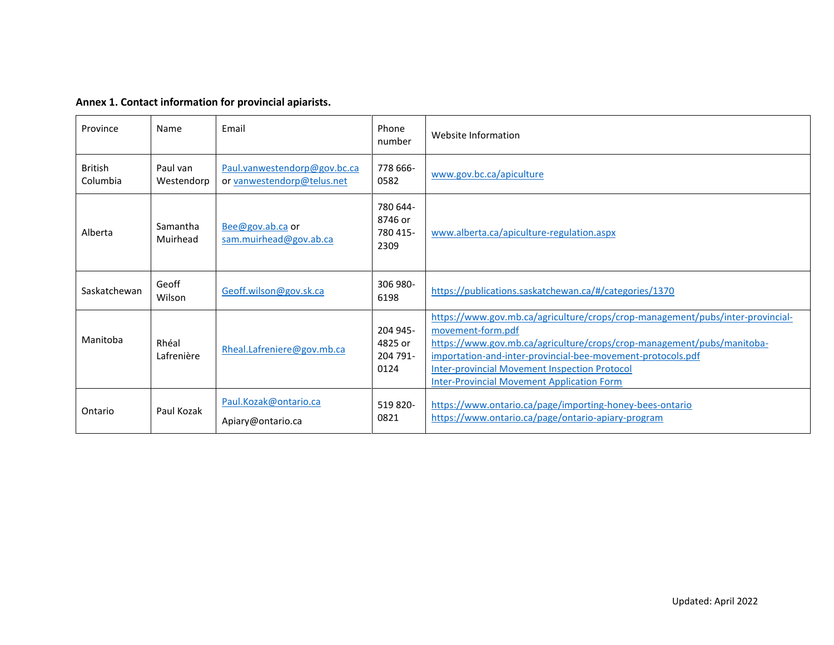| Annex 1. Contact information for provincial apiarists. |  |
|--------------------------------------------------------|--|
|--------------------------------------------------------|--|

| Province                   | Name                   | Email                                                      | Phone<br>number                         | Website Information                                                                                                                                                                                                                                                                                                                                       |
|----------------------------|------------------------|------------------------------------------------------------|-----------------------------------------|-----------------------------------------------------------------------------------------------------------------------------------------------------------------------------------------------------------------------------------------------------------------------------------------------------------------------------------------------------------|
| <b>British</b><br>Columbia | Paul van<br>Westendorp | Paul.vanwestendorp@gov.bc.ca<br>or vanwestendorp@telus.net | 778 666-<br>0582                        | www.gov.bc.ca/apiculture                                                                                                                                                                                                                                                                                                                                  |
| Alberta                    | Samantha<br>Muirhead   | Bee@gov.ab.ca or<br>sam.muirhead@gov.ab.ca                 | 780 644-<br>8746 or<br>780 415-<br>2309 | www.alberta.ca/apiculture-regulation.aspx                                                                                                                                                                                                                                                                                                                 |
| Saskatchewan               | Geoff<br>Wilson        | Geoff.wilson@gov.sk.ca                                     | 306 980-<br>6198                        | https://publications.saskatchewan.ca/#/categories/1370                                                                                                                                                                                                                                                                                                    |
| Manitoba                   | Rhéal<br>Lafrenière    | Rheal.Lafreniere@gov.mb.ca                                 | 204 945-<br>4825 or<br>204 791-<br>0124 | https://www.gov.mb.ca/agriculture/crops/crop-management/pubs/inter-provincial-<br>movement-form.pdf<br>https://www.gov.mb.ca/agriculture/crops/crop-management/pubs/manitoba-<br>importation-and-inter-provincial-bee-movement-protocols.pdf<br><b>Inter-provincial Movement Inspection Protocol</b><br><b>Inter-Provincial Movement Application Form</b> |
| Ontario                    | Paul Kozak             | Paul.Kozak@ontario.ca<br>Apiary@ontario.ca                 | 519 820-<br>0821                        | https://www.ontario.ca/page/importing-honey-bees-ontario<br>https://www.ontario.ca/page/ontario-apiary-program                                                                                                                                                                                                                                            |